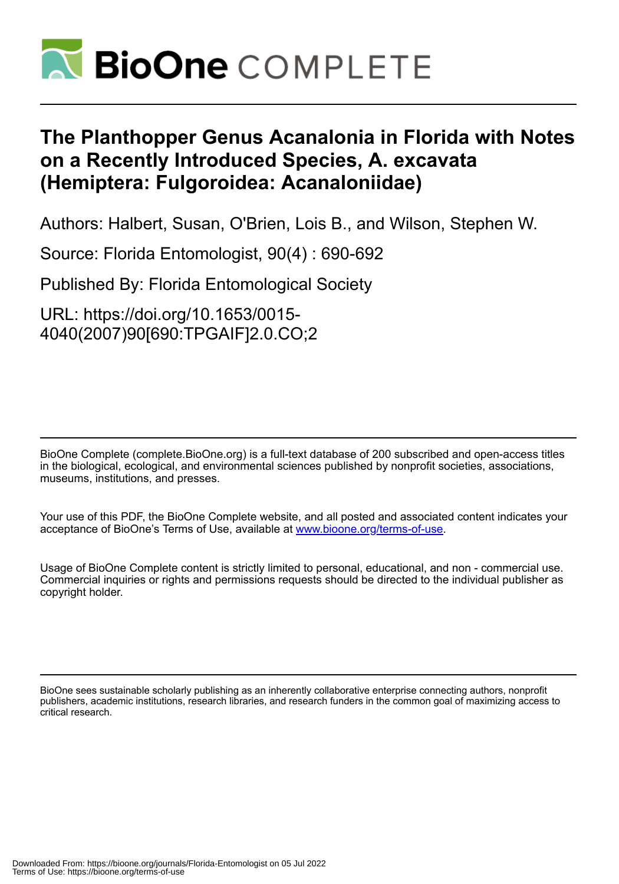

# **The Planthopper Genus Acanalonia in Florida with Notes on a Recently Introduced Species, A. excavata (Hemiptera: Fulgoroidea: Acanaloniidae)**

Authors: Halbert, Susan, O'Brien, Lois B., and Wilson, Stephen W.

Source: Florida Entomologist, 90(4) : 690-692

Published By: Florida Entomological Society

URL: https://doi.org/10.1653/0015- 4040(2007)90[690:TPGAIF]2.0.CO;2

BioOne Complete (complete.BioOne.org) is a full-text database of 200 subscribed and open-access titles in the biological, ecological, and environmental sciences published by nonprofit societies, associations, museums, institutions, and presses.

Your use of this PDF, the BioOne Complete website, and all posted and associated content indicates your acceptance of BioOne's Terms of Use, available at www.bioone.org/terms-of-use.

Usage of BioOne Complete content is strictly limited to personal, educational, and non - commercial use. Commercial inquiries or rights and permissions requests should be directed to the individual publisher as copyright holder.

BioOne sees sustainable scholarly publishing as an inherently collaborative enterprise connecting authors, nonprofit publishers, academic institutions, research libraries, and research funders in the common goal of maximizing access to critical research.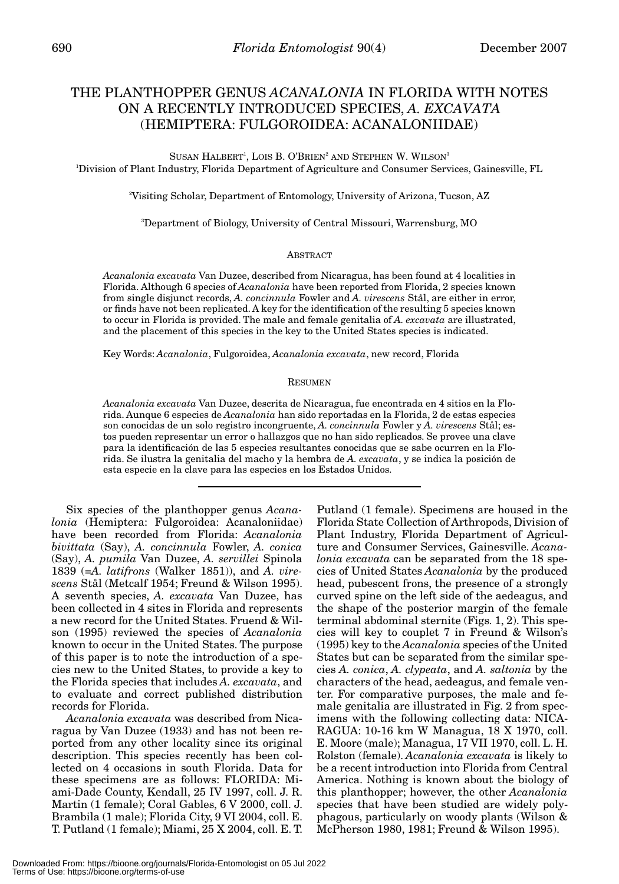## THE PLANTHOPPER GENUS *ACANALONIA* IN FLORIDA WITH NOTES ON A RECENTLY INTRODUCED SPECIES, *A. EXCAVATA* (HEMIPTERA: FULGOROIDEA: ACANALONIIDAE)

SUSAN  $\rm H\Delta LBERT^{1},$  LOIS B. O'BRIEN<sup>2</sup> AND STEPHEN W. WILSON<sup>3</sup> 1 Division of Plant Industry, Florida Department of Agriculture and Consumer Services, Gainesville, FL

2 Visiting Scholar, Department of Entomology, University of Arizona, Tucson, AZ

3 Department of Biology, University of Central Missouri, Warrensburg, MO

#### **ABSTRACT**

*Acanalonia excavata* Van Duzee, described from Nicaragua, has been found at 4 localities in Florida. Although 6 species of *Acanalonia* have been reported from Florida, 2 species known from single disjunct records, *A. concinnula* Fowler and *A. virescens* Stål, are either in error, or finds have not been replicated. A key for the identification of the resulting 5 species known to occur in Florida is provided. The male and female genitalia of *A. excavata* are illustrated, and the placement of this species in the key to the United States species is indicated.

Key Words: *Acanalonia*, Fulgoroidea, *Acanalonia excavata*, new record, Florida

#### RESUMEN

*Acanalonia excavata* Van Duzee, descrita de Nicaragua, fue encontrada en 4 sitios en la Florida. Aunque 6 especies de *Acanalonia* han sido reportadas en la Florida, 2 de estas especies son conocidas de un solo registro incongruente, *A. concinnula* Fowler y *A. virescens* Stål; estos pueden representar un error o hallazgos que no han sido replicados. Se provee una clave para la identificación de las 5 especies resultantes conocidas que se sabe ocurren en la Florida. Se ilustra la genitalia del macho y la hembra de *A. excavata*, y se indica la posición de esta especie en la clave para las especies en los Estados Unidos.

Six species of the planthopper genus *Acanalonia* (Hemiptera: Fulgoroidea: Acanaloniidae) have been recorded from Florida: *Acanalonia bivittata* (Say), *A. concinnula* Fowler, *A. conica* (Say), *A. pumila* Van Duzee, *A. servillei* Spinola 1839 (=*A. latifrons* (Walker 1851)), and *A. virescens* Stål (Metcalf 1954; Freund & Wilson 1995). A seventh species, *A. excavata* Van Duzee, has been collected in 4 sites in Florida and represents a new record for the United States. Fruend & Wilson (1995) reviewed the species of *Acanalonia* known to occur in the United States. The purpose of this paper is to note the introduction of a species new to the United States, to provide a key to the Florida species that includes *A. excavata*, and to evaluate and correct published distribution records for Florida.

*Acanalonia excavata* was described from Nicaragua by Van Duzee (1933) and has not been reported from any other locality since its original description. This species recently has been collected on 4 occasions in south Florida. Data for these specimens are as follows: FLORIDA: Miami-Dade County, Kendall, 25 IV 1997, coll. J. R. Martin (1 female); Coral Gables, 6 V 2000, coll. J. Brambila (1 male); Florida City, 9 VI 2004, coll. E. T. Putland (1 female); Miami, 25 X 2004, coll. E. T.

Putland (1 female). Specimens are housed in the Florida State Collection of Arthropods, Division of Plant Industry, Florida Department of Agriculture and Consumer Services, Gainesville. *Acanalonia excavata* can be separated from the 18 species of United States *Acanalonia* by the produced head, pubescent frons, the presence of a strongly curved spine on the left side of the aedeagus, and the shape of the posterior margin of the female terminal abdominal sternite (Figs. 1, 2). This species will key to couplet 7 in Freund & Wilson's (1995) key to the *Acanalonia* species of the United States but can be separated from the similar species *A. conica*, *A. clypeata*, and *A. saltonia* by the characters of the head, aedeagus, and female venter. For comparative purposes, the male and female genitalia are illustrated in Fig. 2 from specimens with the following collecting data: NICA-RAGUA: 10-16 km W Managua, 18 X 1970, coll. E. Moore (male); Managua, 17 VII 1970, coll. L. H. Rolston (female). *Acanalonia excavata* is likely to be a recent introduction into Florida from Central America. Nothing is known about the biology of this planthopper; however, the other *Acanalonia* species that have been studied are widely polyphagous, particularly on woody plants (Wilson & McPherson 1980, 1981; Freund & Wilson 1995).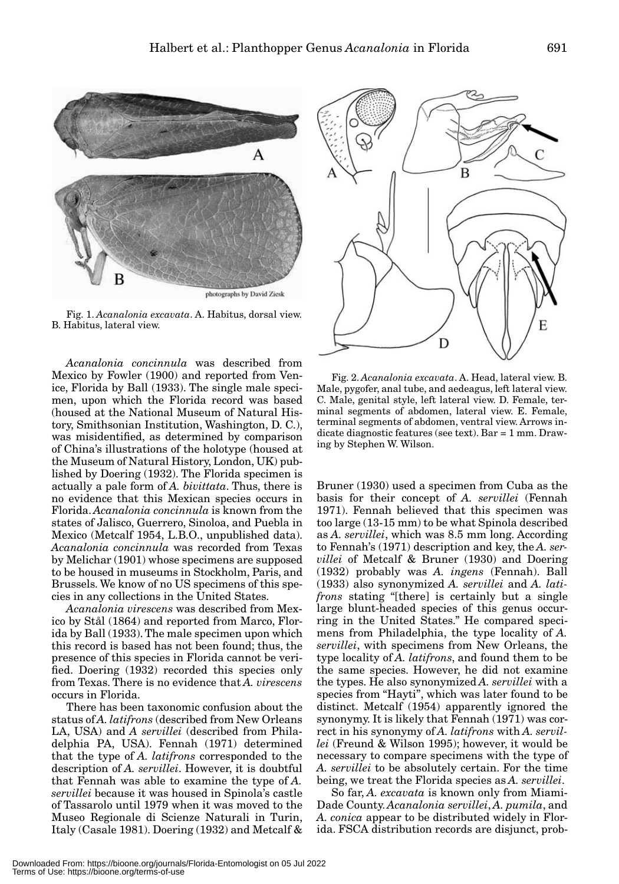

Fig. 1. *Acanalonia excavata*. A. Habitus, dorsal view. B. Habitus, lateral view.

*Acanalonia concinnula* was described from Mexico by Fowler (1900) and reported from Venice, Florida by Ball (1933). The single male specimen, upon which the Florida record was based (housed at the National Museum of Natural History, Smithsonian Institution, Washington, D. C.), was misidentified, as determined by comparison of China's illustrations of the holotype (housed at the Museum of Natural History, London, UK) published by Doering (1932). The Florida specimen is actually a pale form of *A. bivittata*. Thus, there is no evidence that this Mexican species occurs in Florida. *Acanalonia concinnula* is known from the states of Jalisco, Guerrero, Sinoloa, and Puebla in Mexico (Metcalf 1954, L.B.O., unpublished data). *Acanalonia concinnula* was recorded from Texas by Melichar (1901) whose specimens are supposed to be housed in museums in Stockholm, Paris, and Brussels. We know of no US specimens of this species in any collections in the United States.

*Acanalonia virescens* was described from Mexico by Stål (1864) and reported from Marco, Florida by Ball (1933). The male specimen upon which this record is based has not been found; thus, the presence of this species in Florida cannot be verified. Doering (1932) recorded this species only from Texas. There is no evidence that *A. virescens* occurs in Florida.

There has been taxonomic confusion about the status of *A. latifrons* (described from New Orleans LA, USA) and *A servillei* (described from Philadelphia PA, USA). Fennah (1971) determined that the type of *A. latifrons* corresponded to the description of *A. servillei*. However, it is doubtful that Fennah was able to examine the type of *A. servillei* because it was housed in Spinola's castle of Tassarolo until 1979 when it was moved to the Museo Regionale di Scienze Naturali in Turin, Italy (Casale 1981). Doering (1932) and Metcalf &



Fig. 2. *Acanalonia excavata*. A. Head, lateral view. B. Male, pygofer, anal tube, and aedeagus, left lateral view. C. Male, genital style, left lateral view. D. Female, terminal segments of abdomen, lateral view. E. Female, terminal segments of abdomen, ventral view. Arrows indicate diagnostic features (see text). Bar = 1 mm. Drawing by Stephen W. Wilson.

Bruner (1930) used a specimen from Cuba as the basis for their concept of *A. servillei* (Fennah 1971). Fennah believed that this specimen was too large (13-15 mm) to be what Spinola described as *A. servillei*, which was 8.5 mm long. According to Fennah's (1971) description and key, the *A. servillei* of Metcalf & Bruner (1930) and Doering (1932) probably was *A. ingens* (Fennah). Ball (1933) also synonymized *A. servillei* and *A. latifrons* stating "[there] is certainly but a single large blunt-headed species of this genus occurring in the United States." He compared specimens from Philadelphia, the type locality of *A. servillei*, with specimens from New Orleans, the type locality of *A. latifrons*, and found them to be the same species. However, he did not examine the types. He also synonymized *A. servillei* with a species from "Hayti", which was later found to be distinct. Metcalf (1954) apparently ignored the synonymy. It is likely that Fennah (1971) was correct in his synonymy of *A. latifrons* with *A. servillei* (Freund & Wilson 1995); however, it would be necessary to compare specimens with the type of *A. servillei* to be absolutely certain. For the time being, we treat the Florida species as *A. servillei*.

So far, *A. excavata* is known only from Miami-Dade County. *Acanalonia servillei*, *A. pumila*, and *A. conica* appear to be distributed widely in Florida. FSCA distribution records are disjunct, prob-